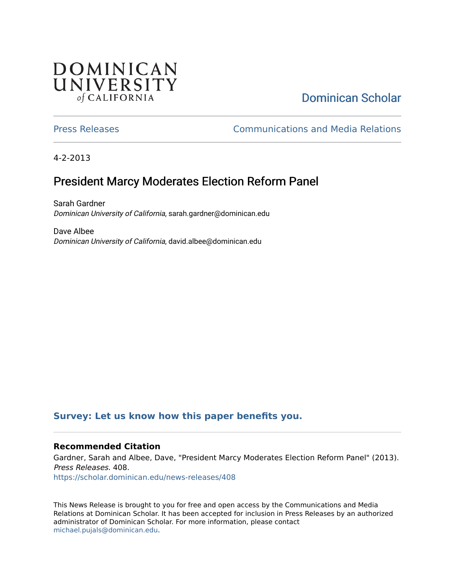## DOMINICAN UNIVERSITY of CALIFORNIA

# [Dominican Scholar](https://scholar.dominican.edu/)

[Press Releases](https://scholar.dominican.edu/news-releases) [Communications and Media Relations](https://scholar.dominican.edu/communications-media) 

4-2-2013

# President Marcy Moderates Election Reform Panel

Sarah Gardner Dominican University of California, sarah.gardner@dominican.edu

Dave Albee Dominican University of California, david.albee@dominican.edu

#### **[Survey: Let us know how this paper benefits you.](https://dominican.libwizard.com/dominican-scholar-feedback)**

#### **Recommended Citation**

Gardner, Sarah and Albee, Dave, "President Marcy Moderates Election Reform Panel" (2013). Press Releases. 408.

[https://scholar.dominican.edu/news-releases/408](https://scholar.dominican.edu/news-releases/408?utm_source=scholar.dominican.edu%2Fnews-releases%2F408&utm_medium=PDF&utm_campaign=PDFCoverPages)

This News Release is brought to you for free and open access by the Communications and Media Relations at Dominican Scholar. It has been accepted for inclusion in Press Releases by an authorized administrator of Dominican Scholar. For more information, please contact [michael.pujals@dominican.edu.](mailto:michael.pujals@dominican.edu)